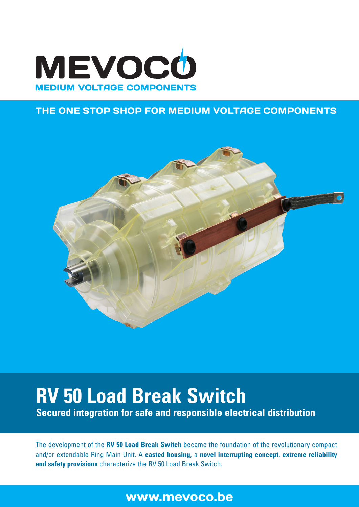

## THE ONE STOP SHOP FOR MEDIUM VOLTAGE COMPONENTS



# **RV 50 Load Break Switch**

**Secured integration for safe and responsible electrical distribution**

The development of the **RV 50 Load Break Switch** became the foundation of the revolutionary compact and/or extendable Ring Main Unit. A **casted housing**, a **novel interrupting concept**, **extreme reliability and safety provisions** characterize the RV 50 Load Break Switch.

# www.mevoco.be